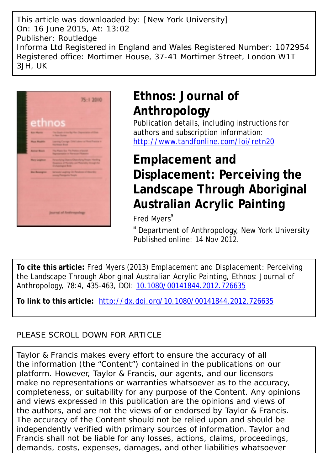This article was downloaded by: [New York University] On: 16 June 2015, At: 13:02 Publisher: Routledge Informa Ltd Registered in England and Wales Registered Number: 1072954 Registered office: Mortimer House, 37-41 Mortimer Street, London W1T 3JH, UK



# **Ethnos: Journal of Anthropology**

Publication details, including instructions for authors and subscription information: <http://www.tandfonline.com/loi/retn20>

# **Emplacement and Displacement: Perceiving the Landscape Through Aboriginal Australian Acrylic Painting**

Fred Myers<sup>a</sup>

<sup>a</sup> Department of Anthropology, New York University Published online: 14 Nov 2012.

**To cite this article:** Fred Myers (2013) Emplacement and Displacement: Perceiving the Landscape Through Aboriginal Australian Acrylic Painting, Ethnos: Journal of Anthropology, 78:4, 435-463, DOI: [10.1080/00141844.2012.726635](http://www.tandfonline.com/action/showCitFormats?doi=10.1080/00141844.2012.726635)

**To link to this article:** <http://dx.doi.org/10.1080/00141844.2012.726635>

# PLEASE SCROLL DOWN FOR ARTICLE

Taylor & Francis makes every effort to ensure the accuracy of all the information (the "Content") contained in the publications on our platform. However, Taylor & Francis, our agents, and our licensors make no representations or warranties whatsoever as to the accuracy, completeness, or suitability for any purpose of the Content. Any opinions and views expressed in this publication are the opinions and views of the authors, and are not the views of or endorsed by Taylor & Francis. The accuracy of the Content should not be relied upon and should be independently verified with primary sources of information. Taylor and Francis shall not be liable for any losses, actions, claims, proceedings, demands, costs, expenses, damages, and other liabilities whatsoever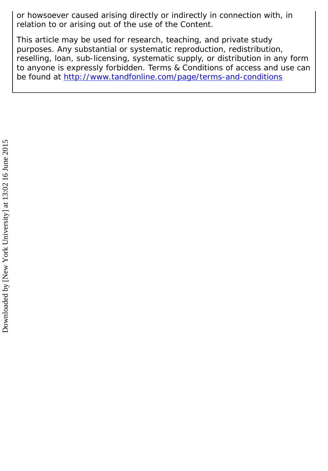or howsoever caused arising directly or indirectly in connection with, in relation to or arising out of the use of the Content.

This article may be used for research, teaching, and private study purposes. Any substantial or systematic reproduction, redistribution, reselling, loan, sub-licensing, systematic supply, or distribution in any form to anyone is expressly forbidden. Terms & Conditions of access and use can be found at <http://www.tandfonline.com/page/terms-and-conditions>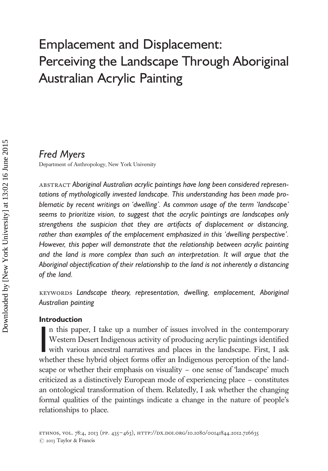# Emplacement and Displacement: Perceiving the Landscape Through Aboriginal Australian Acrylic Painting

# Fred Myers

Department of Anthropology, New York University

abstract Aboriginal Australian acrylic paintings have long been considered representations of mythologically invested landscape. This understanding has been made problematic by recent writings on 'dwelling'. As common usage of the term 'landscape' seems to prioritize vision, to suggest that the acrylic paintings are landscapes only strengthens the suspicion that they are artifacts of displacement or distancing, rather than examples of the emplacement emphasized in this 'dwelling perspective'. However, this paper will demonstrate that the relationship between acrylic painting and the land is more complex than such an interpretation. It will argue that the Aboriginal objectification of their relationship to the land is not inherently a distancing of the land.

keywords Landscape theory, representation, dwelling, emplacement, Aboriginal Australian painting

#### Introduction

In this paper, I take up a number of issues involved in the contemporary Western Desert Indigenous activity of producing acrylic paintings identified with various ancestral narratives and places in the landscape. First, I n this paper, I take up a number of issues involved in the contemporary Western Desert Indigenous activity of producing acrylic paintings identified with various ancestral narratives and places in the landscape. First, I ask scape or whether their emphasis on visuality – one sense of 'landscape' much criticized as a distinctively European mode of experiencing place – constitutes an ontological transformation of them. Relatedly, I ask whether the changing formal qualities of the paintings indicate a change in the nature of people's relationships to place.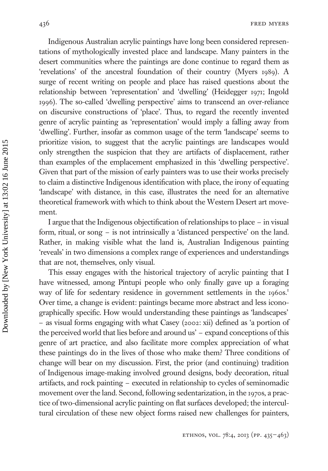Indigenous Australian acrylic paintings have long been considered representations of mythologically invested place and landscape. Many painters in the desert communities where the paintings are done continue to regard them as 'revelations' of the ancestral foundation of their country (Myers 1989). A surge of recent writing on people and place has raised questions about the relationship between 'representation' and 'dwelling' (Heidegger 1971; Ingold 1996). The so-called 'dwelling perspective' aims to transcend an over-reliance on discursive constructions of 'place'. Thus, to regard the recently invented genre of acrylic painting as 'representation' would imply a falling away from 'dwelling'. Further, insofar as common usage of the term 'landscape' seems to prioritize vision, to suggest that the acrylic paintings are landscapes would only strengthen the suspicion that they are artifacts of displacement, rather than examples of the emplacement emphasized in this 'dwelling perspective'. Given that part of the mission of early painters was to use their works precisely to claim a distinctive Indigenous identification with place, the irony of equating 'landscape' with distance, in this case, illustrates the need for an alternative theoretical framework with which to think about the Western Desert art movement.

I argue that the Indigenous objectification of relationships to place – in visual form, ritual, or song – is not intrinsically a 'distanced perspective' on the land. Rather, in making visible what the land is, Australian Indigenous painting 'reveals' in two dimensions a complex range of experiences and understandings that are not, themselves, only visual.

This essay engages with the historical trajectory of acrylic painting that I have witnessed, among Pintupi people who only finally gave up a foraging way of life for sedentary residence in government settlements in the 1960s.<sup>1</sup> Over time, a change is evident: paintings became more abstract and less iconographically specific. How would understanding these paintings as 'landscapes' – as visual forms engaging with what Casey (2002: xii) defined as 'a portion of the perceived world that lies before and around us' – expand conceptions of this genre of art practice, and also facilitate more complex appreciation of what these paintings do in the lives of those who make them? Three conditions of change will bear on my discussion. First, the prior (and continuing) tradition of Indigenous image-making involved ground designs, body decoration, ritual artifacts, and rock painting – executed in relationship to cycles of seminomadic movement over the land. Second, following sedentarization, in the 1970s, a practice of two-dimensional acrylic painting on flat surfaces developed; the intercultural circulation of these new object forms raised new challenges for painters,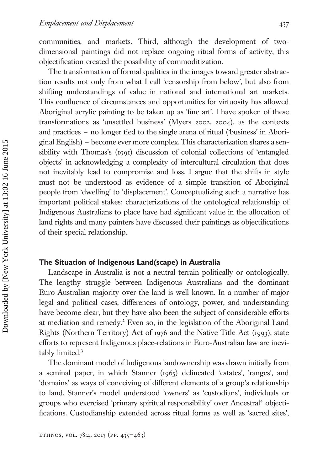communities, and markets. Third, although the development of twodimensional paintings did not replace ongoing ritual forms of activity, this objectification created the possibility of commoditization.

The transformation of formal qualities in the images toward greater abstraction results not only from what I call 'censorship from below', but also from shifting understandings of value in national and international art markets. This confluence of circumstances and opportunities for virtuosity has allowed Aboriginal acrylic painting to be taken up as 'fine art'. I have spoken of these transformations as 'unsettled business' (Myers 2002, 2004), as the contexts and practices – no longer tied to the single arena of ritual ('business' in Aboriginal English) – become ever more complex. This characterization shares a sensibility with Thomas's (1991) discussion of colonial collections of 'entangled objects' in acknowledging a complexity of intercultural circulation that does not inevitably lead to compromise and loss. I argue that the shifts in style must not be understood as evidence of a simple transition of Aboriginal people from 'dwelling' to 'displacement'. Conceptualizing such a narrative has important political stakes: characterizations of the ontological relationship of Indigenous Australians to place have had significant value in the allocation of land rights and many painters have discussed their paintings as objectifications of their special relationship.

### The Situation of Indigenous Land(scape) in Australia

Landscape in Australia is not a neutral terrain politically or ontologically. The lengthy struggle between Indigenous Australians and the dominant Euro-Australian majority over the land is well known. In a number of major legal and political cases, differences of ontology, power, and understanding have become clear, but they have also been the subject of considerable efforts at mediation and remedy.<sup>2</sup> Even so, in the legislation of the Aboriginal Land Rights (Northern Territory) Act of 1976 and the Native Title Act (1993), state efforts to represent Indigenous place-relations in Euro-Australian law are inevitably limited.<sup>3</sup>

The dominant model of Indigenous landownership was drawn initially from a seminal paper, in which Stanner (1965) delineated 'estates', 'ranges', and 'domains' as ways of conceiving of different elements of a group's relationship to land. Stanner's model understood 'owners' as 'custodians', individuals or groups who exercised 'primary spiritual responsibility' over Ancestral<sup>4</sup> objectifications. Custodianship extended across ritual forms as well as 'sacred sites',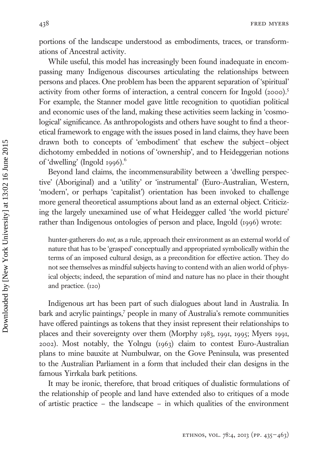portions of the landscape understood as embodiments, traces, or transformations of Ancestral activity.

While useful, this model has increasingly been found inadequate in encompassing many Indigenous discourses articulating the relationships between persons and places. One problem has been the apparent separation of 'spiritual' activity from other forms of interaction, a central concern for Ingold  $(2000)^5$ For example, the Stanner model gave little recognition to quotidian political and economic uses of the land, making these activities seem lacking in 'cosmological' significance. As anthropologists and others have sought to find a theoretical framework to engage with the issues posed in land claims, they have been drawn both to concepts of 'embodiment' that eschew the subject–object dichotomy embedded in notions of 'ownership', and to Heideggerian notions of 'dwelling' (Ingold 1996).<sup>6</sup>

Beyond land claims, the incommensurability between a 'dwelling perspective' (Aboriginal) and a 'utility' or 'instrumental' (Euro-Australian, Western, 'modern', or perhaps 'capitalist') orientation has been invoked to challenge more general theoretical assumptions about land as an external object. Criticizing the largely unexamined use of what Heidegger called 'the world picture' rather than Indigenous ontologies of person and place, Ingold (1996) wrote:

hunter-gatherers do *not*, as a rule, approach their environment as an external world of nature that has to be 'grasped' conceptually and appropriated symbolically within the terms of an imposed cultural design, as a precondition for effective action. They do not see themselves as mindful subjects having to contend with an alien world of physical objects; indeed, the separation of mind and nature has no place in their thought and practice. (120)

Indigenous art has been part of such dialogues about land in Australia. In bark and acrylic paintings,<sup>7</sup> people in many of Australia's remote communities have offered paintings as tokens that they insist represent their relationships to places and their sovereignty over them (Morphy 1983, 1991, 1995; Myers 1991, 2002). Most notably, the Yolngu (1963) claim to contest Euro-Australian plans to mine bauxite at Numbulwar, on the Gove Peninsula, was presented to the Australian Parliament in a form that included their clan designs in the famous Yirrkala bark petitions.

It may be ironic, therefore, that broad critiques of dualistic formulations of the relationship of people and land have extended also to critiques of a mode of artistic practice – the landscape – in which qualities of the environment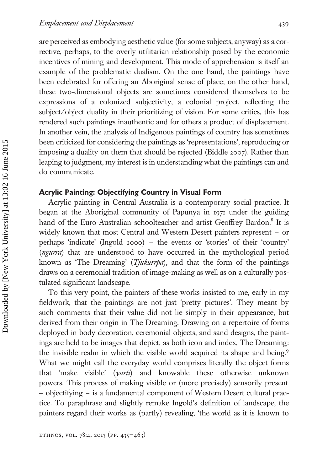are perceived as embodying aesthetic value (for some subjects, anyway) as a corrective, perhaps, to the overly utilitarian relationship posed by the economic incentives of mining and development. This mode of apprehension is itself an example of the problematic dualism. On the one hand, the paintings have been celebrated for offering an Aboriginal sense of place; on the other hand, these two-dimensional objects are sometimes considered themselves to be expressions of a colonized subjectivity, a colonial project, reflecting the subject/object duality in their prioritizing of vision. For some critics, this has rendered such paintings inauthentic and for others a product of displacement. In another vein, the analysis of Indigenous paintings of country has sometimes been criticized for considering the paintings as 'representations', reproducing or imposing a duality on them that should be rejected (Biddle 2007). Rather than leaping to judgment, my interest is in understanding what the paintings can and do communicate.

# Acrylic Painting: Objectifying Country in Visual Form

Acrylic painting in Central Australia is a contemporary social practice. It began at the Aboriginal community of Papunya in 1971 under the guiding hand of the Euro-Australian schoolteacher and artist Geoffrey Bardon.<sup>8</sup> It is widely known that most Central and Western Desert painters represent – or perhaps 'indicate' (Ingold 2000) – the events or 'stories' of their 'country' (ngurra) that are understood to have occurred in the mythological period known as 'The Dreaming' (Tjukurrpa), and that the form of the paintings draws on a ceremonial tradition of image-making as well as on a culturally postulated significant landscape.

To this very point, the painters of these works insisted to me, early in my fieldwork, that the paintings are not just 'pretty pictures'. They meant by such comments that their value did not lie simply in their appearance, but derived from their origin in The Dreaming. Drawing on a repertoire of forms deployed in body decoration, ceremonial objects, and sand designs, the paintings are held to be images that depict, as both icon and index, The Dreaming: the invisible realm in which the visible world acquired its shape and being.<sup>9</sup> What we might call the everyday world comprises literally the object forms that 'make visible' (yurti) and knowable these otherwise unknown powers. This process of making visible or (more precisely) sensorily present – objectifying – is a fundamental component of Western Desert cultural practice. To paraphrase and slightly remake Ingold's definition of landscape, the painters regard their works as (partly) revealing, 'the world as it is known to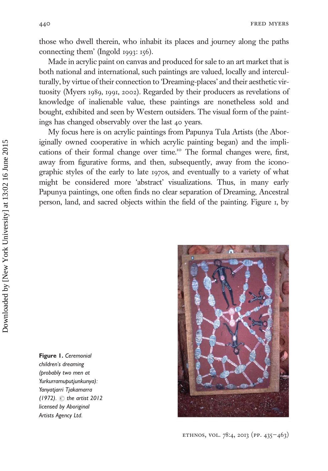those who dwell therein, who inhabit its places and journey along the paths connecting them' (Ingold 1993: 156).

Made in acrylic paint on canvas and produced for sale to an art market that is both national and international, such paintings are valued, locally and interculturally, by virtue of their connection to 'Dreaming-places' and their aesthetic virtuosity (Myers 1989, 1991, 2002). Regarded by their producers as revelations of knowledge of inalienable value, these paintings are nonetheless sold and bought, exhibited and seen by Western outsiders. The visual form of the paintings has changed observably over the last 40 years.

My focus here is on acrylic paintings from Papunya Tula Artists (the Aboriginally owned cooperative in which acrylic painting began) and the implications of their formal change over time.<sup>10</sup> The formal changes were, first, away from figurative forms, and then, subsequently, away from the iconographic styles of the early to late 1970s, and eventually to a variety of what might be considered more 'abstract' visualizations. Thus, in many early Papunya paintings, one often finds no clear separation of Dreaming, Ancestral person, land, and sacred objects within the field of the painting. Figure 1, by

Figure 1. Ceremonial children's dreaming (probably two men at Yurkurramuputjunkunya): Yanyatjarri Tjakamarra (1972).  $\circled{c}$  the artist 2012 licensed by Aboriginal Artists Agency Ltd.



ethnos, vol. 78:4, 2013 (pp. 435–463)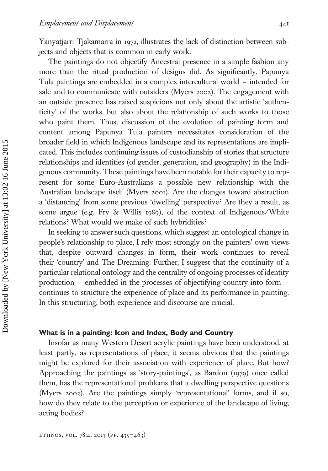Yanyatjarri Tjakamarra in 1972, illustrates the lack of distinction between subjects and objects that is common in early work.

The paintings do not objectify Ancestral presence in a simple fashion any more than the ritual production of designs did. As significantly, Papunya Tula paintings are embedded in a complex intercultural world – intended for sale and to communicate with outsiders (Myers 2002). The engagement with an outside presence has raised suspicions not only about the artistic 'authenticity' of the works, but also about the relationship of such works to those who paint them. Thus, discussion of the evolution of painting form and content among Papunya Tula painters necessitates consideration of the broader field in which Indigenous landscape and its representations are implicated. This includes continuing issues of custodianship of stories that structure relationships and identities (of gender, generation, and geography) in the Indigenous community. These paintings have been notable for their capacity to represent for some Euro-Australians a possible new relationship with the Australian landscape itself (Myers 2001). Are the changes toward abstraction a 'distancing' from some previous 'dwelling' perspective? Are they a result, as some argue (e.g. Fry & Willis 1989), of the context of Indigenous/White relations? What would we make of such hybridities?

In seeking to answer such questions, which suggest an ontological change in people's relationship to place, I rely most strongly on the painters' own views that, despite outward changes in form, their work continues to reveal their 'country' and The Dreaming. Further, I suggest that the continuity of a particular relational ontology and the centrality of ongoing processes of identity production – embedded in the processes of objectifying country into form – continues to structure the experience of place and its performance in painting. In this structuring, both experience and discourse are crucial.

#### What is in a painting: Icon and Index, Body and Country

Insofar as many Western Desert acrylic paintings have been understood, at least partly, as representations of place, it seems obvious that the paintings might be explored for their association with experience of place. But how? Approaching the paintings as 'story-paintings', as Bardon (1979) once called them, has the representational problems that a dwelling perspective questions (Myers 2002). Are the paintings simply 'representational' forms, and if so, how do they relate to the perception or experience of the landscape of living, acting bodies?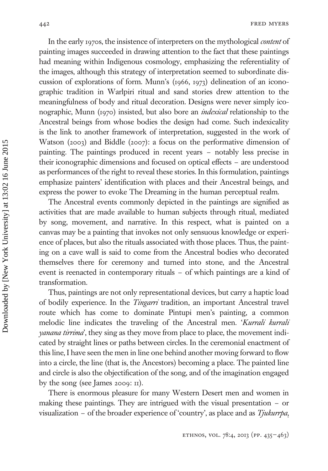In the early 1970s, the insistence of interpreters on the mythological *content* of painting images succeeded in drawing attention to the fact that these paintings had meaning within Indigenous cosmology, emphasizing the referentiality of the images, although this strategy of interpretation seemed to subordinate discussion of explorations of form. Munn's (1966, 1973) delineation of an iconographic tradition in Warlpiri ritual and sand stories drew attention to the meaningfulness of body and ritual decoration. Designs were never simply iconographic, Munn (1970) insisted, but also bore an *indexical* relationship to the Ancestral beings from whose bodies the design had come. Such indexicality is the link to another framework of interpretation, suggested in the work of Watson (2003) and Biddle (2007): a focus on the performative dimension of painting. The paintings produced in recent years – notably less precise in their iconographic dimensions and focused on optical effects – are understood as performances of the right to reveal these stories. In this formulation, paintings emphasize painters' identification with places and their Ancestral beings, and express the power to evoke The Dreaming in the human perceptual realm.

The Ancestral events commonly depicted in the paintings are signified as activities that are made available to human subjects through ritual, mediated by song, movement, and narrative. In this respect, what is painted on a canvas may be a painting that invokes not only sensuous knowledge or experience of places, but also the rituals associated with those places. Thus, the painting on a cave wall is said to come from the Ancestral bodies who decorated themselves there for ceremony and turned into stone, and the Ancestral event is reenacted in contemporary rituals – of which paintings are a kind of transformation.

Thus, paintings are not only representational devices, but carry a haptic load of bodily experience. In the Tingarri tradition, an important Ancestral travel route which has come to dominate Pintupi men's painting, a common melodic line indicates the traveling of the Ancestral men. 'Kurrali kurrali yanana tirrima', they sing as they move from place to place, the movement indicated by straight lines or paths between circles. In the ceremonial enactment of this line, I have seen the men in line one behind another moving forward to flow into a circle, the line (that is, the Ancestors) becoming a place. The painted line and circle is also the objectification of the song, and of the imagination engaged by the song (see James 2009: 11).

There is enormous pleasure for many Western Desert men and women in making these paintings. They are intrigued with the visual presentation – or visualization – of the broader experience of 'country', as place and as Tjukurrpa,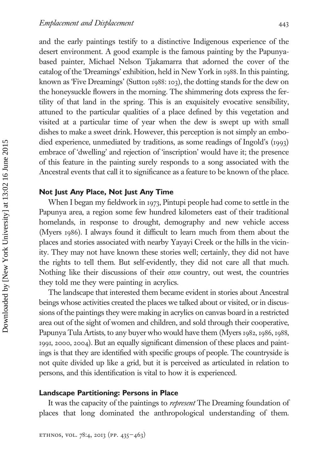and the early paintings testify to a distinctive Indigenous experience of the desert environment. A good example is the famous painting by the Papunyabased painter, Michael Nelson Tjakamarra that adorned the cover of the catalog of the 'Dreamings' exhibition, held in New York in 1988. In this painting, known as 'Five Dreamings' (Sutton 1988: 103), the dotting stands for the dew on the honeysuckle flowers in the morning. The shimmering dots express the fertility of that land in the spring. This is an exquisitely evocative sensibility, attuned to the particular qualities of a place defined by this vegetation and visited at a particular time of year when the dew is swept up with small dishes to make a sweet drink. However, this perception is not simply an embodied experience, unmediated by traditions, as some readings of Ingold's (1993) embrace of 'dwelling' and rejection of 'inscription' would have it; the presence of this feature in the painting surely responds to a song associated with the Ancestral events that call it to significance as a feature to be known of the place.

### Not Just Any Place, Not Just Any Time

When I began my fieldwork in 1973, Pintupi people had come to settle in the Papunya area, a region some few hundred kilometers east of their traditional homelands, in response to drought, demography and new vehicle access (Myers 1986). I always found it difficult to learn much from them about the places and stories associated with nearby Yayayi Creek or the hills in the vicinity. They may not have known these stories well; certainly, they did not have the rights to tell them. But self-evidently, they did not care all that much. Nothing like their discussions of their *own* country, out west, the countries they told me they were painting in acrylics.

The landscape that interested them became evident in stories about Ancestral beings whose activities created the places we talked about or visited, or in discussions of the paintings they were making in acrylics on canvas board in a restricted area out of the sight of women and children, and sold through their cooperative, Papunya Tula Artists, to any buyer who would have them (Myers 1982, 1986, 1988, 1991, 2000, 2004). But an equally significant dimension of these places and paintings is that they are identified with specific groups of people. The countryside is not quite divided up like a grid, but it is perceived as articulated in relation to persons, and this identification is vital to how it is experienced.

# Landscape Partitioning: Persons in Place

It was the capacity of the paintings to *represent* The Dreaming foundation of places that long dominated the anthropological understanding of them.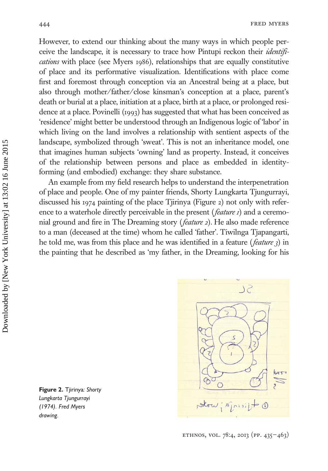However, to extend our thinking about the many ways in which people perceive the landscape, it is necessary to trace how Pintupi reckon their *identifi*cations with place (see Myers 1986), relationships that are equally constitutive of place and its performative visualization. Identifications with place come first and foremost through conception via an Ancestral being at a place, but also through mother/father/close kinsman's conception at a place, parent's death or burial at a place, initiation at a place, birth at a place, or prolonged residence at a place. Povinelli (1993) has suggested that what has been conceived as 'residence' might better be understood through an Indigenous logic of 'labor' in which living on the land involves a relationship with sentient aspects of the landscape, symbolized through 'sweat'. This is not an inheritance model, one that imagines human subjects 'owning' land as property. Instead, it conceives of the relationship between persons and place as embedded in identityforming (and embodied) exchange: they share substance.

An example from my field research helps to understand the interpenetration of place and people. One of my painter friends, Shorty Lungkarta Tjungurrayi, discussed his 1974 painting of the place Tjirinya (Figure 2) not only with reference to a waterhole directly perceivable in the present (*feature*  $i$ ) and a ceremonial ground and fire in The Dreaming story (feature 2). He also made reference to a man (deceased at the time) whom he called 'father'. Tiwilnga Tjapangarti, he told me, was from this place and he was identified in a feature (*feature* 3) in the painting that he described as 'my father, in the Dreaming, looking for his



Figure 2. Tjirinya: Shorty Lungkarta Tjungurrayi (1974). Fred Myers drawing.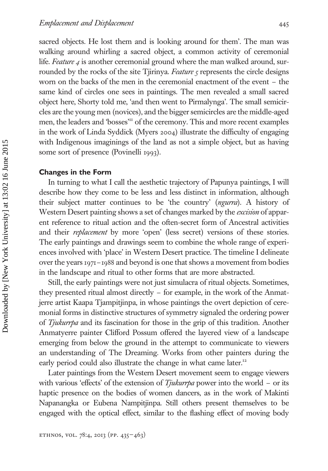sacred objects. He lost them and is looking around for them'. The man was walking around whirling a sacred object, a common activity of ceremonial life. Feature  $\varphi$  is another ceremonial ground where the man walked around, surrounded by the rocks of the site Tiirinya. Feature  $\varsigma$  represents the circle designs worn on the backs of the men in the ceremonial enactment of the event – the same kind of circles one sees in paintings. The men revealed a small sacred object here, Shorty told me, 'and then went to Pirmalynga'. The small semicircles are the young men (novices), and the bigger semicircles are the middle-aged men, the leaders and 'bosses'<sup>11</sup> of the ceremony. This and more recent examples in the work of Linda Syddick (Myers 2004) illustrate the difficulty of engaging with Indigenous imaginings of the land as not a simple object, but as having some sort of presence (Povinelli 1993).

# Changes in the Form

In turning to what I call the aesthetic trajectory of Papunya paintings, I will describe how they come to be less and less distinct in information, although their subject matter continues to be 'the country' (ngurra). A history of Western Desert painting shows a set of changes marked by the *excision* of apparent reference to ritual action and the often-secret form of Ancestral activities and their replacement by more 'open' (less secret) versions of these stories. The early paintings and drawings seem to combine the whole range of experiences involved with 'place' in Western Desert practice. The timeline I delineate over the years 1971–1988 and beyond is one that shows a movement from bodies in the landscape and ritual to other forms that are more abstracted.

Still, the early paintings were not just simulacra of ritual objects. Sometimes, they presented ritual almost directly – for example, in the work of the Anmatjerre artist Kaapa Tjampitjinpa, in whose paintings the overt depiction of ceremonial forms in distinctive structures of symmetry signaled the ordering power of Tjukurrpa and its fascination for those in the grip of this tradition. Another Anmatyerre painter Clifford Possum offered the layered view of a landscape emerging from below the ground in the attempt to communicate to viewers an understanding of The Dreaming. Works from other painters during the early period could also illustrate the change in what came later.<sup>12</sup>

Later paintings from the Western Desert movement seem to engage viewers with various 'effects' of the extension of  $T$ *jukurrpa* power into the world – or its haptic presence on the bodies of women dancers, as in the work of Makinti Napanangka or Eubena Nampitjinpa. Still others present themselves to be engaged with the optical effect, similar to the flashing effect of moving body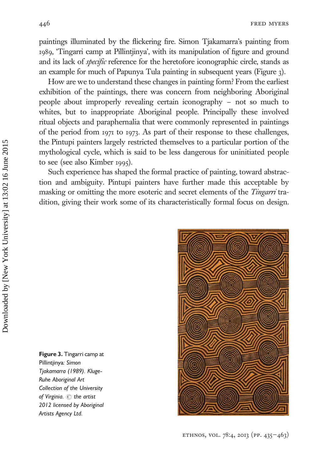paintings illuminated by the flickering fire. Simon Tjakamarra's painting from 1989, 'Tingarri camp at Pillintjinya', with its manipulation of figure and ground and its lack of *specific* reference for the heretofore iconographic circle, stands as an example for much of Papunya Tula painting in subsequent years (Figure 3).

How are we to understand these changes in painting form? From the earliest exhibition of the paintings, there was concern from neighboring Aboriginal people about improperly revealing certain iconography – not so much to whites, but to inappropriate Aboriginal people. Principally these involved ritual objects and paraphernalia that were commonly represented in paintings of the period from 1971 to 1973. As part of their response to these challenges, the Pintupi painters largely restricted themselves to a particular portion of the mythological cycle, which is said to be less dangerous for uninitiated people to see (see also Kimber 1995).

Such experience has shaped the formal practice of painting, toward abstraction and ambiguity. Pintupi painters have further made this acceptable by masking or omitting the more esoteric and secret elements of the Tingarri tradition, giving their work some of its characteristically formal focus on design.



Figure 3. Tingarri camp at Pillintjinya: Simon Tjakamarra (1989). Kluge-Ruhe Aboriginal Art Collection of the University of Virginia.  $\oslash$  the artist 2012 licensed by Aboriginal Artists Agency Ltd.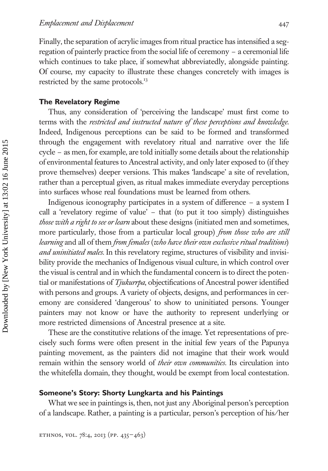Finally, the separation of acrylic images from ritual practice has intensified a segregation of painterly practice from the social life of ceremony – a ceremonial life which continues to take place, if somewhat abbreviatedly, alongside painting. Of course, my capacity to illustrate these changes concretely with images is restricted by the same protocols.<sup>13</sup>

#### The Revelatory Regime

Thus, any consideration of 'perceiving the landscape' must first come to terms with the restricted and instructed nature of these perceptions and knowledge. Indeed, Indigenous perceptions can be said to be formed and transformed through the engagement with revelatory ritual and narrative over the life cycle – as men, for example, are told initially some details about the relationship of environmental features to Ancestral activity, and only later exposed to (if they prove themselves) deeper versions. This makes 'landscape' a site of revelation, rather than a perceptual given, as ritual makes immediate everyday perceptions into surfaces whose real foundations must be learned from others.

Indigenous iconography participates in a system of difference – a system I call a 'revelatory regime of value' – that (to put it too simply) distinguishes those with a right to see or learn about these designs (initiated men and sometimes, more particularly, those from a particular local group) from those who are still learning and all of them from females (who have their own exclusive ritual traditions) and uninitiated males. In this revelatory regime, structures of visibility and invisibility provide the mechanics of Indigenous visual culture, in which control over the visual is central and in which the fundamental concern is to direct the potential or manifestations of Tjukurrpa, objectifications of Ancestral power identified with persons and groups. A variety of objects, designs, and performances in ceremony are considered 'dangerous' to show to uninitiated persons. Younger painters may not know or have the authority to represent underlying or more restricted dimensions of Ancestral presence at a site.

These are the constitutive relations of the image. Yet representations of precisely such forms were often present in the initial few years of the Papunya painting movement, as the painters did not imagine that their work would remain within the sensory world of *their own communities*. Its circulation into the whitefella domain, they thought, would be exempt from local contestation.

# Someone's Story: Shorty Lungkarta and his Paintings

What we see in paintings is, then, not just any Aboriginal person's perception of a landscape. Rather, a painting is a particular, person's perception of his/her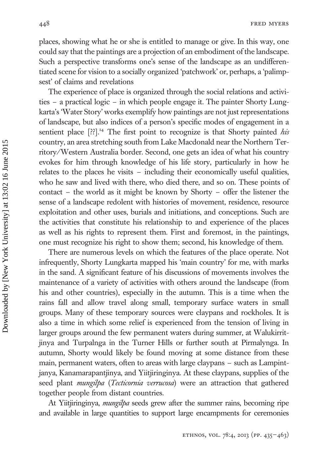places, showing what he or she is entitled to manage or give. In this way, one could say that the paintings are a projection of an embodiment of the landscape. Such a perspective transforms one's sense of the landscape as an undifferentiated scene for vision to a socially organized 'patchwork' or, perhaps, a 'palimpsest' of claims and revelations

The experience of place is organized through the social relations and activities – a practical logic – in which people engage it. The painter Shorty Lungkarta's 'Water Story' works exemplify how paintings are not just representations of landscape, but also indices of a person's specific modes of engagement in a sentient place  $[?!]$ .<sup>14</sup> The first point to recognize is that Shorty painted his country, an area stretching south from Lake Macdonald near the Northern Territory/Western Australia border. Second, one gets an idea of what his country evokes for him through knowledge of his life story, particularly in how he relates to the places he visits – including their economically useful qualities, who he saw and lived with there, who died there, and so on. These points of contact – the world as it might be known by Shorty – offer the listener the sense of a landscape redolent with histories of movement, residence, resource exploitation and other uses, burials and initiations, and conceptions. Such are the activities that constitute his relationship to and experience of the places as well as his rights to represent them. First and foremost, in the paintings, one must recognize his right to show them; second, his knowledge of them.

There are numerous levels on which the features of the place operate. Not infrequently, Shorty Lungkarta mapped his 'main country' for me, with marks in the sand. A significant feature of his discussions of movements involves the maintenance of a variety of activities with others around the landscape (from his and other countries), especially in the autumn. This is a time when the rains fall and allow travel along small, temporary surface waters in small groups. Many of these temporary sources were claypans and rockholes. It is also a time in which some relief is experienced from the tension of living in larger groups around the few permanent waters during summer, at Walukirritjinya and Turpalnga in the Turner Hills or further south at Pirmalynga. In autumn, Shorty would likely be found moving at some distance from these main, permanent waters, often to areas with large claypans – such as Lampintjanya, Kanamarapantjinya, and Yiitjiringinya. At these claypans, supplies of the seed plant *mungilpa* (Tecticornia verrucosa) were an attraction that gathered together people from distant countries.

At Yiitjiringinya, *mungilpa* seeds grew after the summer rains, becoming ripe and available in large quantities to support large encampments for ceremonies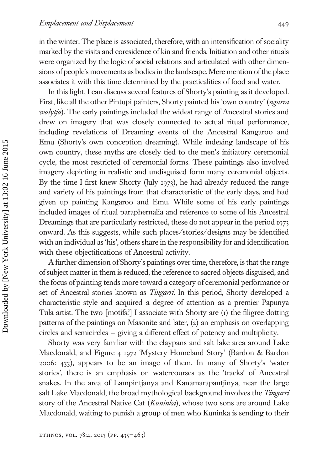in the winter. The place is associated, therefore, with an intensification of sociality marked by the visits and coresidence of kin and friends. Initiation and other rituals were organized by the logic of social relations and articulated with other dimensions of people's movements as bodies in the landscape. Mere mention of the place associates it with this time determined by the practicalities of food and water.

In this light, I can discuss several features of Shorty's painting as it developed. First, like all the other Pintupi painters, Shorty painted his 'own country' (ngurra *walytja*). The early paintings included the widest range of Ancestral stories and drew on imagery that was closely connected to actual ritual performance, including revelations of Dreaming events of the Ancestral Kangaroo and Emu (Shorty's own conception dreaming). While indexing landscape of his own country, these myths are closely tied to the men's initiatory ceremonial cycle, the most restricted of ceremonial forms. These paintings also involved imagery depicting in realistic and undisguised form many ceremonial objects. By the time I first knew Shorty (July 1973), he had already reduced the range and variety of his paintings from that characteristic of the early days, and had given up painting Kangaroo and Emu. While some of his early paintings included images of ritual paraphernalia and reference to some of his Ancestral Dreamings that are particularly restricted, these do not appear in the period 1973 onward. As this suggests, while such places/stories/designs may be identified with an individual as 'his', others share in the responsibility for and identification with these objectifications of Ancestral activity.

A further dimension of Shorty's paintings over time, therefore, is that the range of subject matter in them is reduced, the reference to sacred objects disguised, and the focus of painting tends more toward a category of ceremonial performance or set of Ancestral stories known as *Tingarri*. In this period, Shorty developed a characteristic style and acquired a degree of attention as a premier Papunya Tula artist. The two [motifs?] I associate with Shorty are (1) the filigree dotting patterns of the paintings on Masonite and later, (2) an emphasis on overlapping circles and semicircles – giving a different effect of potency and multiplicity.

Shorty was very familiar with the claypans and salt lake area around Lake Macdonald, and Figure 4 1972 'Mystery Homeland Story' (Bardon & Bardon 2006: 433), appears to be an image of them. In many of Shorty's 'water stories', there is an emphasis on watercourses as the 'tracks' of Ancestral snakes. In the area of Lampintjanya and Kanamarapantjinya, near the large salt Lake Macdonald, the broad mythological background involves the Tingarri story of the Ancestral Native Cat (Kuninka), whose two sons are around Lake Macdonald, waiting to punish a group of men who Kuninka is sending to their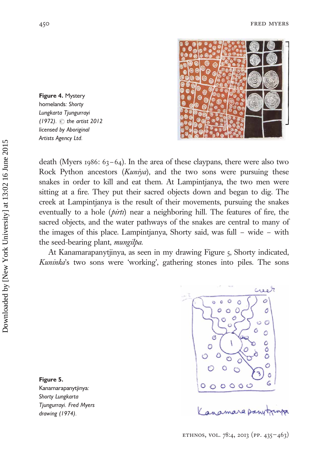

death (Myers 1986: 63–64). In the area of these claypans, there were also two Rock Python ancestors (Kuniya), and the two sons were pursuing these snakes in order to kill and eat them. At Lampintjanya, the two men were sitting at a fire. They put their sacred objects down and began to dig. The creek at Lampintjanya is the result of their movements, pursuing the snakes eventually to a hole (*pirti*) near a neighboring hill. The features of fire, the sacred objects, and the water pathways of the snakes are central to many of the images of this place. Lampintjanya, Shorty said, was full – wide – with the seed-bearing plant, mungilpa.

At Kanamarapanytjinya, as seen in my drawing Figure 5, Shorty indicated, Kuninka's two sons were 'working', gathering stones into piles. The sons



Canamara Danytr

ETHNOS, VOL. 78:4, 2013 (PP. 435–463)

Figure 4. Mystery homelands: Shorty Lungkarta Tjungurrayi  $(1972)$ .  $\odot$  the artist 2012 licensed by Aboriginal Artists Agency Ltd.

Figure 5. Kanamarapanytjinya: Shorty Lungkarta Tjungurrayi. Fred Myers drawing (1974).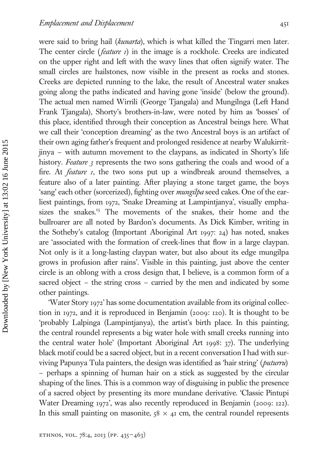were said to bring hail (kunarta), which is what killed the Tingarri men later. The center circle (*feature 1*) in the image is a rockhole. Creeks are indicated on the upper right and left with the wavy lines that often signify water. The small circles are hailstones, now visible in the present as rocks and stones. Creeks are depicted running to the lake, the result of Ancestral water snakes going along the paths indicated and having gone 'inside' (below the ground). The actual men named Wirrili (George Tjangala) and Mungilnga (Left Hand Frank Tjangala), Shorty's brothers-in-law, were noted by him as 'bosses' of this place, identified through their conception as Ancestral beings here. What we call their 'conception dreaming' as the two Ancestral boys is an artifact of their own aging father's frequent and prolonged residence at nearby Walukirritjinya – with autumn movement to the claypans, as indicated in Shorty's life history. Feature 3 represents the two sons gathering the coals and wood of a fire. At *feature 1*, the two sons put up a windbreak around themselves, a feature also of a later painting. After playing a stone target game, the boys 'sang' each other (sorcerized), fighting over *mungilpa* seed cakes. One of the earliest paintings, from 1972, 'Snake Dreaming at Lampintjanya', visually emphasizes the snakes.<sup>15</sup> The movements of the snakes, their home and the bullroarer are all noted by Bardon's documents. As Dick Kimber, writing in the Sotheby's catalog (Important Aboriginal Art 1997: 24) has noted, snakes are 'associated with the formation of creek-lines that flow in a large claypan. Not only is it a long-lasting claypan water, but also about its edge mungilpa grows in profusion after rains'. Visible in this painting, just above the center circle is an oblong with a cross design that, I believe, is a common form of a sacred object – the string cross – carried by the men and indicated by some other paintings.

'Water Story 1972' has some documentation available from its original collection in 1972, and it is reproduced in Benjamin (2009: 120). It is thought to be 'probably Lalpinga (Lampintjanya), the artist's birth place. In this painting, the central roundel represents a big water hole with small creeks running into the central water hole' (Important Aboriginal Art 1998: 37). The underlying black motif could be a sacred object, but in a recent conversation I had with surviving Papunya Tula painters, the design was identified as 'hair string' ( $\mu$ uturru) – perhaps a spinning of human hair on a stick as suggested by the circular shaping of the lines. This is a common way of disguising in public the presence of a sacred object by presenting its more mundane derivative. 'Classic Pintupi Water Dreaming 1972', was also recently reproduced in Benjamin (2009: 122). In this small painting on masonite,  $58 \times 41$  cm, the central roundel represents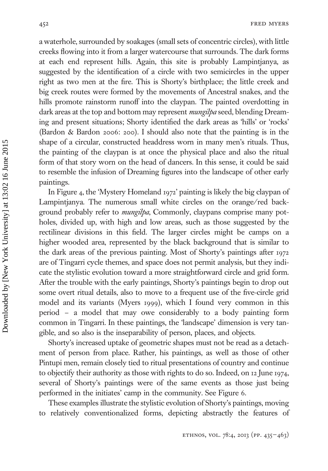a waterhole, surrounded by soakages (small sets of concentric circles), with little creeks flowing into it from a larger watercourse that surrounds. The dark forms at each end represent hills. Again, this site is probably Lampintjanya, as suggested by the identification of a circle with two semicircles in the upper right as two men at the fire. This is Shorty's birthplace; the little creek and big creek routes were formed by the movements of Ancestral snakes, and the hills promote rainstorm runoff into the claypan. The painted overdotting in dark areas at the top and bottom may represent *mungilpa* seed, blending Dreaming and present situations; Shorty identified the dark areas as 'hills' or 'rocks' (Bardon & Bardon 2006: 200). I should also note that the painting is in the shape of a circular, constructed headdress worn in many men's rituals. Thus, the painting of the claypan is at once the physical place and also the ritual form of that story worn on the head of dancers. In this sense, it could be said to resemble the infusion of Dreaming figures into the landscape of other early paintings.

In Figure 4, the 'Mystery Homeland 1972' painting is likely the big claypan of Lampintjanya. The numerous small white circles on the orange/red background probably refer to *mungilpa*, Commonly, claypans comprise many potholes, divided up, with high and low areas, such as those suggested by the rectilinear divisions in this field. The larger circles might be camps on a higher wooded area, represented by the black background that is similar to the dark areas of the previous painting. Most of Shorty's paintings after 1972 are of Tingarri cycle themes, and space does not permit analysis, but they indicate the stylistic evolution toward a more straightforward circle and grid form. After the trouble with the early paintings, Shorty's paintings begin to drop out some overt ritual details, also to move to a frequent use of the five-circle grid model and its variants (Myers 1999), which I found very common in this period – a model that may owe considerably to a body painting form common in Tingarri. In these paintings, the 'landscape' dimension is very tangible, and so also is the inseparability of person, places, and objects.

Shorty's increased uptake of geometric shapes must not be read as a detachment of person from place. Rather, his paintings, as well as those of other Pintupi men, remain closely tied to ritual presentations of country and continue to objectify their authority as those with rights to do so. Indeed, on 12 June 1974, several of Shorty's paintings were of the same events as those just being performed in the initiates' camp in the community. See Figure 6.

These examples illustrate the stylistic evolution of Shorty's paintings, moving to relatively conventionalized forms, depicting abstractly the features of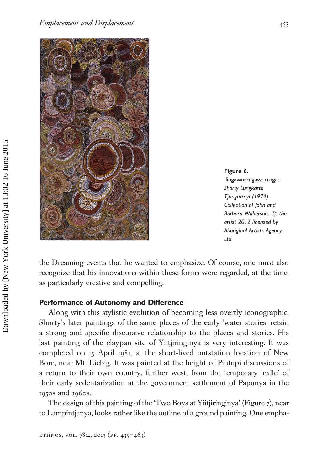

Figure 6. Ilingawurrngawurrnga: Shorty Lungkarta Tjungurrayi (1974). Collection of John and Barbara Wilkerson.  $\odot$  the artist 2012 licensed by Aboriginal Artists Agency Ltd.

the Dreaming events that he wanted to emphasize. Of course, one must also recognize that his innovations within these forms were regarded, at the time, as particularly creative and compelling.

#### Performance of Autonomy and Difference

Along with this stylistic evolution of becoming less overtly iconographic, Shorty's later paintings of the same places of the early 'water stories' retain a strong and specific discursive relationship to the places and stories. His last painting of the claypan site of Yiitjiringinya is very interesting. It was completed on 15 April 1981, at the short-lived outstation location of New Bore, near Mt. Liebig. It was painted at the height of Pintupi discussions of a return to their own country, further west, from the temporary 'exile' of their early sedentarization at the government settlement of Papunya in the 1950s and 1960s.

The design of this painting of the 'Two Boys at Yiitjiringinya' (Figure 7), near to Lampintjanya, looks rather like the outline of a ground painting. One empha-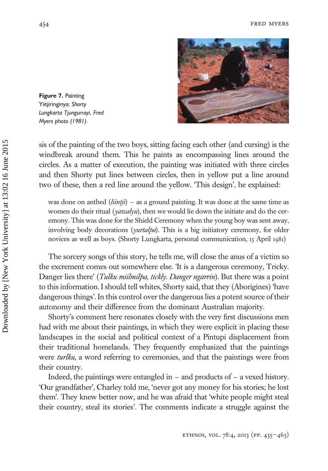

Figure 7. Painting Yiitjiringinya: Shorty Lungkarta Tjungurrayi, Fred Myers photo (1981).

sis of the painting of the two boys, sitting facing each other (and cursing) is the windbreak around them. This he paints as encompassing lines around the circles. As a matter of execution, the painting was initiated with three circles and then Shorty put lines between circles, then in yellow put a line around two of these, then a red line around the yellow. 'This design', he explained:

was done on antbed  $(l<sub>limit</sub>)$  – as a ground painting. It was done at the same time as women do their ritual ( $\gamma$ awalyu), then we would lie down the initiate and do the ceremony. This was done for the Shield Ceremony when the young boy was sent away, involving body decorations (*yurtalpa*). This is a big initiatory ceremony, for older novices as well as boys. (Shorty Lungkarta, personal communication, 15 April 1981)

The sorcery songs of this story, he tells me, will close the anus of a victim so the excrement comes out somewhere else. 'It is a dangerous ceremony, Tricky. Danger lies there' (Tulku miilmilpa, tickly. Danger ngarrin). But there was a point to this information. I should tell whites, Shorty said, that they (Aborigines) 'have dangerous things'. In this control over the dangerous lies a potent source of their autonomy and their difference from the dominant Australian majority.

Shorty's comment here resonates closely with the very first discussions men had with me about their paintings, in which they were explicit in placing these landscapes in the social and political context of a Pintupi displacement from their traditional homelands. They frequently emphasized that the paintings were turlku, a word referring to ceremonies, and that the paintings were from their country.

Indeed, the paintings were entangled in – and products of – a vexed history. 'Our grandfather', Charley told me, 'never got any money for his stories; he lost them'. They knew better now, and he was afraid that 'white people might steal their country, steal its stories'. The comments indicate a struggle against the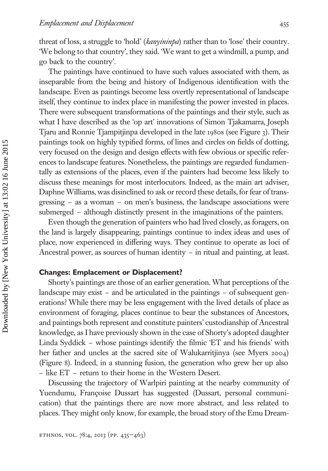threat of loss, a struggle to 'hold' (kanyininpa) rather than to 'lose' their country. 'We belong to that country', they said. 'We want to get a windmill, a pump, and go back to the country'.

The paintings have continued to have such values associated with them, as inseparable from the being and history of Indigenous identification with the landscape. Even as paintings become less overtly representational of landscape itself, they continue to index place in manifesting the power invested in places. There were subsequent transformations of the paintings and their style, such as what I have described as the 'op art' innovations of Simon Tjakamarra, Joseph Tjaru and Ronnie Tjampitjinpa developed in the late 1980s (see Figure 3). Their paintings took on highly typified forms, of lines and circles on fields of dotting, very focused on the design and design effects with few obvious or specific references to landscape features. Nonetheless, the paintings are regarded fundamentally as extensions of the places, even if the painters had become less likely to discuss these meanings for most interlocutors. Indeed, as the main art adviser, Daphne Williams, was disinclined to ask or record these details, for fear of transgressing – as a woman – on men's business, the landscape associations were submerged – although distinctly present in the imaginations of the painters.

Even though the generation of painters who had lived closely, as foragers, on the land is largely disappearing, paintings continue to index ideas and uses of place, now experienced in differing ways. They continue to operate as loci of Ancestral power, as sources of human identity – in ritual and painting, at least.

### Changes: Emplacement or Displacement?

Shorty's paintings are those of an earlier generation. What perceptions of the landscape may exist – and be articulated in the paintings – of subsequent generations? While there may be less engagement with the lived details of place as environment of foraging, places continue to bear the substances of Ancestors, and paintings both represent and constitute painters' custodianship of Ancestral knowledge, as I have previously shown in the case of Shorty's adopted daughter Linda Syddick – whose paintings identify the filmic 'ET and his friends' with her father and uncles at the sacred site of Walukarritjinya (see Myers 2004) (Figure 8). Indeed, in a stunning fusion, the generation who grew her up also – like ET – return to their home in the Western Desert.

Discussing the trajectory of Warlpiri painting at the nearby community of Yuendumu, Françoise Dussart has suggested (Dussart, personal communication) that the paintings there are now more abstract, and less related to places. They might only know, for example, the broad story of the Emu Dream-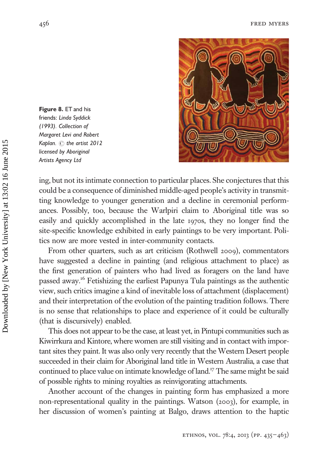Figure 8. ET and his friends: Linda Syddick (1993). Collection of Margaret Levi and Robert Kaplan.  $\odot$  the artist 2012 licensed by Aboriginal Artists Agency Ltd

ing, but not its intimate connection to particular places. She conjectures that this could be a consequence of diminished middle-aged people's activity in transmitting knowledge to younger generation and a decline in ceremonial performances. Possibly, too, because the Warlpiri claim to Aboriginal title was so easily and quickly accomplished in the late 1970s, they no longer find the site-specific knowledge exhibited in early paintings to be very important. Politics now are more vested in inter-community contacts.

From other quarters, such as art criticism (Rothwell 2009), commentators have suggested a decline in painting (and religious attachment to place) as the first generation of painters who had lived as foragers on the land have passed away.<sup>16</sup> Fetishizing the earliest Papunya Tula paintings as the authentic view, such critics imagine a kind of inevitable loss of attachment (displacement) and their interpretation of the evolution of the painting tradition follows. There is no sense that relationships to place and experience of it could be culturally (that is discursively) enabled.

This does not appear to be the case, at least yet, in Pintupi communities such as Kiwirrkura and Kintore, where women are still visiting and in contact with important sites they paint. It was also only very recently that the Western Desert people succeeded in their claim for Aboriginal land title in Western Australia, a case that continued to place value on intimate knowledge of land.<sup>17</sup> The same might be said of possible rights to mining royalties as reinvigorating attachments.

Another account of the changes in painting form has emphasized a more non-representational quality in the paintings. Watson (2003), for example, in her discussion of women's painting at Balgo, draws attention to the haptic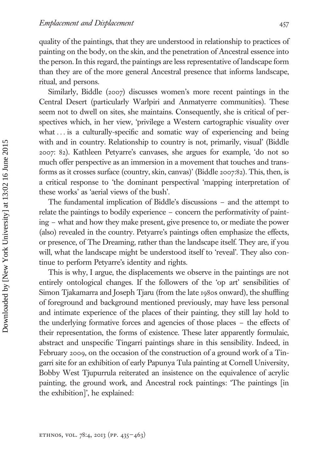quality of the paintings, that they are understood in relationship to practices of painting on the body, on the skin, and the penetration of Ancestral essence into the person. In this regard, the paintings are less representative of landscape form than they are of the more general Ancestral presence that informs landscape, ritual, and persons.

Similarly, Biddle (2007) discusses women's more recent paintings in the Central Desert (particularly Warlpiri and Anmatyerre communities). These seem not to dwell on sites, she maintains. Consequently, she is critical of perspectives which, in her view, 'privilege a Western cartographic visuality over what ... is a culturally-specific and somatic way of experiencing and being with and in country. Relationship to country is not, primarily, visual' (Biddle 2007: 82). Kathleen Petyarre's canvases, she argues for example, 'do not so much offer perspective as an immersion in a movement that touches and transforms as it crosses surface (country, skin, canvas)' (Biddle 2007:82). This, then, is a critical response to 'the dominant perspectival 'mapping interpretation of these works' as 'aerial views of the bush'.

The fundamental implication of Biddle's discussions – and the attempt to relate the paintings to bodily experience – concern the performativity of painting – what and how they make present, give presence to, or mediate the power (also) revealed in the country. Petyarre's paintings often emphasize the effects, or presence, of The Dreaming, rather than the landscape itself. They are, if you will, what the landscape might be understood itself to 'reveal'. They also continue to perform Petyarre's identity and rights.

This is why, I argue, the displacements we observe in the paintings are not entirely ontological changes. If the followers of the 'op art' sensibilities of Simon Tjakamarra and Joseph Tjaru (from the late 1980s onward), the shuffling of foreground and background mentioned previously, may have less personal and intimate experience of the places of their painting, they still lay hold to the underlying formative forces and agencies of those places – the effects of their representation, the forms of existence. These later apparently formulaic, abstract and unspecific Tingarri paintings share in this sensibility. Indeed, in February 2009, on the occasion of the construction of a ground work of a Tingarri site for an exhibition of early Papunya Tula painting at Cornell University, Bobby West Tjupurrula reiterated an insistence on the equivalence of acrylic painting, the ground work, and Ancestral rock paintings: 'The paintings [in the exhibition]', he explained: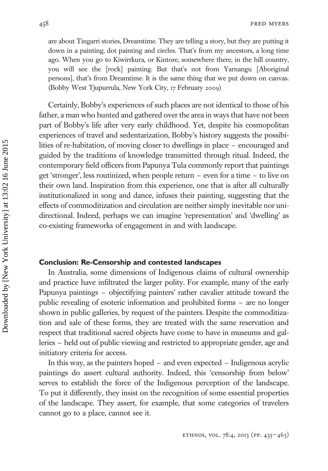are about Tingarri stories, Dreamtime. They are telling a story, but they are putting it down in a painting, dot painting and circles. That's from my ancestors, a long time ago. When you go to Kiwirrkura, or Kintore, somewhere there, in the hill country, you will see the [rock] painting. But that's not from Yarnangu [Aboriginal persons], that's from Dreamtime. It is the same thing that we put down on canvas. (Bobby West Tjupurrula, New York City, 17 February 2009)

Certainly, Bobby's experiences of such places are not identical to those of his father, a man who hunted and gathered over the area in ways that have not been part of Bobby's life after very early childhood. Yet, despite his cosmopolitan experiences of travel and sedentarization, Bobby's history suggests the possibilities of re-habitation, of moving closer to dwellings in place – encouraged and guided by the traditions of knowledge transmitted through ritual. Indeed, the contemporary field officers from Papunya Tula commonly report that paintings get 'stronger', less routinized, when people return – even for a time – to live on their own land. Inspiration from this experience, one that is after all culturally institutionalized in song and dance, infuses their painting, suggesting that the effects of commoditization and circulation are neither simply inevitable nor unidirectional. Indeed, perhaps we can imagine 'representation' and 'dwelling' as co-existing frameworks of engagement in and with landscape.

#### Conclusion: Re-Censorship and contested landscapes

In Australia, some dimensions of Indigenous claims of cultural ownership and practice have infiltrated the larger polity. For example, many of the early Papunya paintings – objectifying painters' rather cavalier attitude toward the public revealing of esoteric information and prohibited forms – are no longer shown in public galleries, by request of the painters. Despite the commoditization and sale of these forms, they are treated with the same reservation and respect that traditional sacred objects have come to have in museums and galleries – held out of public viewing and restricted to appropriate gender, age and initiatory criteria for access.

In this way, as the painters hoped – and even expected – Indigenous acrylic paintings do assert cultural authority. Indeed, this 'censorship from below' serves to establish the force of the Indigenous perception of the landscape. To put it differently, they insist on the recognition of some essential properties of the landscape. They assert, for example, that some categories of travelers cannot go to a place, cannot see it.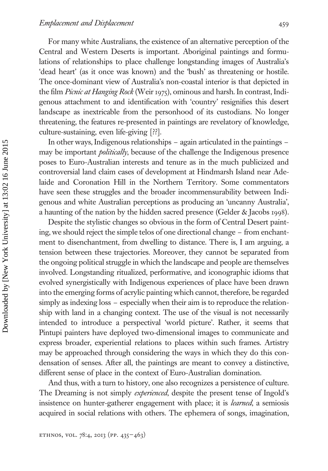For many white Australians, the existence of an alternative perception of the Central and Western Deserts is important. Aboriginal paintings and formulations of relationships to place challenge longstanding images of Australia's 'dead heart' (as it once was known) and the 'bush' as threatening or hostile. The once-dominant view of Australia's non-coastal interior is that depicted in the film Picnic at Hanging Rock (Weir 1975), ominous and harsh. In contrast, Indigenous attachment to and identification with 'country' resignifies this desert landscape as inextricable from the personhood of its custodians. No longer threatening, the features re-presented in paintings are revelatory of knowledge, culture-sustaining, even life-giving [??].

In other ways, Indigenous relationships – again articulated in the paintings – may be important *politically*, because of the challenge the Indigenous presence poses to Euro-Australian interests and tenure as in the much publicized and controversial land claim cases of development at Hindmarsh Island near Adelaide and Coronation Hill in the Northern Territory. Some commentators have seen these struggles and the broader incommensurability between Indigenous and white Australian perceptions as producing an 'uncanny Australia', a haunting of the nation by the hidden sacred presence (Gelder & Jacobs 1998).

Despite the stylistic changes so obvious in the form of Central Desert painting, we should reject the simple telos of one directional change – from enchantment to disenchantment, from dwelling to distance. There is, I am arguing, a tension between these trajectories. Moreover, they cannot be separated from the ongoing political struggle in which the landscape and people are themselves involved. Longstanding ritualized, performative, and iconographic idioms that evolved synergistically with Indigenous experiences of place have been drawn into the emerging forms of acrylic painting which cannot, therefore, be regarded simply as indexing loss – especially when their aim is to reproduce the relationship with land in a changing context. The use of the visual is not necessarily intended to introduce a perspectival 'world picture'. Rather, it seems that Pintupi painters have deployed two-dimensional images to communicate and express broader, experiential relations to places within such frames. Artistry may be approached through considering the ways in which they do this condensation of senses. After all, the paintings are meant to convey a distinctive, different sense of place in the context of Euro-Australian domination.

And thus, with a turn to history, one also recognizes a persistence of culture. The Dreaming is not simply *experienced*, despite the present tense of Ingold's insistence on hunter-gatherer engagement with place; it is *learned*, a semiosis acquired in social relations with others. The ephemera of songs, imagination,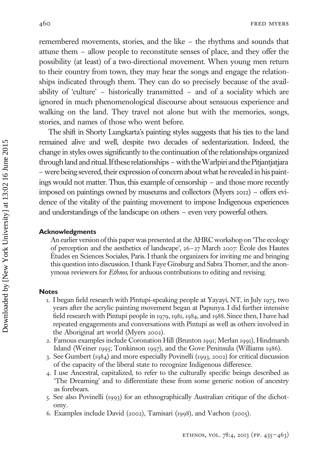remembered movements, stories, and the like – the rhythms and sounds that attune them – allow people to reconstitute senses of place, and they offer the possibility (at least) of a two-directional movement. When young men return to their country from town, they may hear the songs and engage the relationships indicated through them. They can do so precisely because of the availability of 'culture' – historically transmitted – and of a sociality which are ignored in much phenomenological discourse about sensuous experience and walking on the land. They travel not alone but with the memories, songs, stories, and names of those who went before.

The shift in Shorty Lungkarta's painting styles suggests that his ties to the land remained alive and well, despite two decades of sedentarization. Indeed, the change in styles owes significantly to the continuation of the relationships organized through land and ritual. If these relationships – with theWarlpiri and the Pitjantjatjara – were being severed, their expression of concern about what he revealed in his paintings would not matter. Thus, this example of censorship – and those more recently imposed on paintings owned by museums and collectors (Myers 2012) – offers evidence of the vitality of the painting movement to impose Indigenous experiences and understandings of the landscape on others – even very powerful others.

#### Acknowledgments

An earlier version of this paper was presented at the AHRC workshop on 'The ecology of perception and the aesthetics of landscape',  $26-27$  March 2007: Ecole des Hautes Etudes en Sciences Sociales, Paris. I thank the organizers for inviting me and bringing this question into discussion. I thank Faye Ginsburg and Sabra Thorner, and the anonymous reviewers for *Ethnos*, for arduous contributions to editing and revising.

#### **Notes**

- 1. I began field research with Pintupi-speaking people at Yayayi, NT, in July 1973, two years after the acrylic painting movement began at Papunya. I did further intensive field research with Pintupi people in 1979, 1981, 1984, and 1988. Since then, I have had repeated engagements and conversations with Pintupi as well as others involved in the Aboriginal art world (Myers 2002).
- 2. Famous examples include Coronation Hill (Brunton 1991; Merlan 1991), Hindmarsh Island (Weiner 1995; Tonkinson 1997), and the Gove Peninsula (Williams 1986).
- 3. See Gumbert (1984) and more especially Povinelli (1993, 2002) for critical discussion of the capacity of the liberal state to recognize Indigenous difference.
- 4. I use Ancestral, capitalized, to refer to the culturally specific beings described as 'The Dreaming' and to differentiate these from some generic notion of ancestry as forebears.
- 5. See also Povinelli (1993) for an ethnographically Australian critique of the dichotomy.
- 6. Examples include David (2002), Tamisari (1998), and Vachon (2005).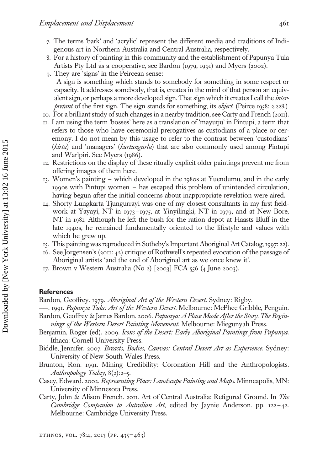- 7. The terms 'bark' and 'acrylic' represent the different media and traditions of Indigenous art in Northern Australia and Central Australia, respectively.
- 8. For a history of painting in this community and the establishment of Papunya Tula Artists Pty Ltd as a cooperative, see Bardon (1979, 1991) and Myers (2002).
- 9. They are 'signs' in the Peircean sense: A sign is something which stands to somebody for something in some respect or capacity. It addresses somebody, that is, creates in the mind of that person an equivalent sign, or perhaps a more developed sign. That sign which it creates I call the *inter*pretant of the first sign. The sign stands for something, its *object*. (Peirce 1958: 2.228.)
- 10. For a brilliant study of such changes in a nearby tradition, see Carty and French (2011).
- 11. I am using the term 'bosses' here as a translation of 'mayutju' in Pintupi, a term that refers to those who have ceremonial prerogatives as custodians of a place or ceremony. I do not mean by this usage to refer to the contrast between 'custodians' (kirta) and 'managers' (kurtungurlu) that are also commonly used among Pintupi and Warlpiri. See Myers (1986).
- 12. Restrictions on the display of these ritually explicit older paintings prevent me from offering images of them here.
- 13. Women's painting which developed in the 1980s at Yuendumu, and in the early 1990s with Pintupi women – has escaped this problem of unintended circulation, having begun after the initial concerns about inappropriate revelation were aired.
- 14. Shorty Lungkarta Tjungurrayi was one of my closest consultants in my first fieldwork at Yayayi, NT in 1973–1975, at Yinyilingki, NT in 1979, and at New Bore, NT in 1981. Although he left the bush for the ration depot at Haasts Bluff in the late 1940s, he remained fundamentally oriented to the lifestyle and values with which he grew up.
- 15. This painting was reproduced in Sotheby's Important Aboriginal Art Catalog, 1997: 22).
- 16. See Jorgensen's (2011: 42) critique of Rothwell's repeated evocation of the passage of Aboriginal artists 'and the end of Aboriginal art as we once knew it'.
- 17. Brown v Western Australia (No 2) [2003] FCA 556 (4 June 2003).

### **References**

Bardon, Geoffrey. 1979. Aboriginal Art of the Western Desert. Sydney: Rigby.

— 1991. Papunya Tula: Art of the Western Desert. Melbourne: McPhee Gribble, Penguin. Bardon, Geoffrey & James Bardon. 2006. Papunya: A Place Made After the Story. The Begin-

nings of the Western Desert Painting Movement. Melbourne: Miegunyah Press.

- Benjamin, Roger (ed). 2009. Icons of the Desert: Early Aboriginal Paintings from Papunya. Ithaca: Cornell University Press.
- Biddle, Jennifer. 2007. Breasts, Bodies, Canvas: Central Desert Art as Experience. Sydney: University of New South Wales Press.
- Brunton, Ron. 1991. Mining Credibility: Coronation Hill and the Anthropologists. Anthropology Today,  $8(2):2-5$ .
- Casey, Edward. 2002. Representing Place: Landscape Painting and Maps. Minneapolis, MN: University of Minnesota Press.
- Carty, John & Alison French. 2011. Art of Central Australia: Refigured Ground. In The Cambridge Companion to Autralian Art, edited by Jaynie Anderson. pp. 122-42. Melbourne: Cambridge University Press.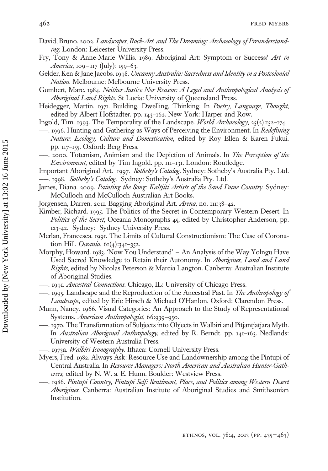- David, Bruno. 2002. Landscapes, Rock-Art, and The Dreaming: Archaeology of Preunderstanding. London: Leicester University Press.
- Fry, Tony & Anne-Marie Willis. 1989. Aboriginal Art: Symptom or Success? Art in *America*, 109–117 (July): 159–63.
- Gelder, Ken & Jane Jacobs. 1998. Uncanny Australia: Sacredness and Identity in a Postcolonial Nation. Melbourne: Melbourne University Press.
- Gumbert, Marc. 1984. Neither Justice Nor Reason: A Legal and Anthropological Analysis of Aboriginal Land Rights. St Lucia: University of Queensland Press.
- Heidegger, Martin. 1971. Building, Dwelling, Thinking. In Poetry, Language, Thought, edited by Albert Hofstadter. pp. 143–162. New York: Harper and Row.
- Ingold, Tim. 1993. The Temporality of the Landscape. World Archaeology, 25(2):152–174.
- —. 1996. Hunting and Gathering as Ways of Perceiving the Environment. In *Redefining* Nature: Ecology, Culture and Domestication, edited by Roy Ellen & Karen Fukui. pp. 117–155. Oxford: Berg Press.
- ——. 2000. Totemism, Animism and the Depiction of Animals. In The Perception of the Environment, edited by Tim Ingold. pp. 111–131. London: Routledge.

Important Aboriginal Art. 1997. Sotheby's Catalog. Sydney: Sotheby's Australia Pty. Ltd. - . 1998. Sotheby's Catalog. Sydney: Sotheby's Australia Pty. Ltd.

- James, Diana. 2009. Painting the Song: Kaltjiti Artists of the Sand Dune Country. Sydney: McCulloch and McCulloch Australian Art Books.
- Jorgensen, Darren. 2011. Bagging Aboriginal Art. Arena, no. 111:38-42.
- Kimber, Richard. 1995. The Politics of the Secret in Contemporary Western Desert. In Politics of the Secret, Oceania Monographs 45, edited by Christopher Anderson, pp. 123-42. Sydney: Sydney University Press.
- Merlan, Francesca. 1991. The Limits of Cultural Constructionism: The Case of Coronation Hill. Oceania,  $6I(4):34I-352$ .
- Morphy, Howard. 1983. 'Now You Understand' An Analysis of the Way Yolngu Have Used Sacred Knowledge to Retain their Autonomy. In Aborigines, Land and Land Rights, edited by Nicolas Peterson & Marcia Langton. Canberra: Australian Institute of Aboriginal Studies.
- ——. 1991. Ancestral Connections. Chicago, IL: University of Chicago Press.
- ——. 1995. Landscape and the Reproduction of the Ancestral Past. In The Anthropology of Landscape, edited by Eric Hirsch & Michael O'Hanlon. Oxford: Clarendon Press.
- Munn, Nancy. 1966. Visual Categories: An Approach to the Study of Representational Systems. American Anthropologist, 66:939–950.
- ——. 1970. The Transformation of Subjects into Objects in Walbiri and Pitjantjatjara Myth. In Australian Aboriginal Anthropology, edited by R. Berndt. pp. 141–163. Nedlands: University of Western Australia Press.
- 1973a. *Walbiri Iconography*. Ithaca: Cornell University Press.
- Myers, Fred. 1982. Always Ask: Resource Use and Landownership among the Pintupi of Central Australia. In Resource Managers: North American and Australian Hunter-Gatherers, edited by N. W. a. E. Hunn. Boulder: Westview Press.
- ——. 1986. Pintupi Country, Pintupi Self: Sentiment, Place, and Politics among Western Desert Aborigines. Canberra: Australian Institute of Aboriginal Studies and Smithsonian Institution.